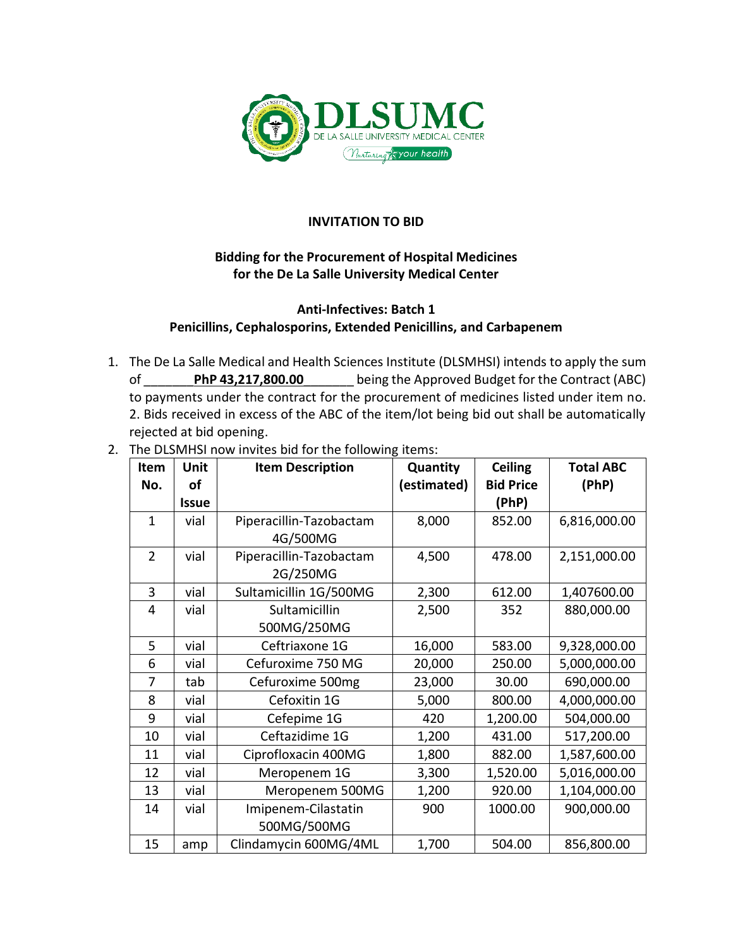

## **INVITATION TO BID**

## **Bidding for the Procurement of Hospital Medicines for the De La Salle University Medical Center**

## **Anti-Infectives: Batch 1 Penicillins, Cephalosporins, Extended Penicillins, and Carbapenem**

- 1. The De La Salle Medical and Health Sciences Institute (DLSMHSI) intends to apply the sum of \_\_\_\_\_\_\_**PhP 43,217,800.00**\_\_\_\_\_\_\_ being the Approved Budget for the Contract (ABC) to payments under the contract for the procurement of medicines listed under item no. 2. Bids received in excess of the ABC of the item/lot being bid out shall be automatically rejected at bid opening.
- 2. The DLSMHSI now invites bid for the following items:

| Item           | Unit         | <b>Item Description</b> | Quantity    | <b>Ceiling</b>   | <b>Total ABC</b> |
|----------------|--------------|-------------------------|-------------|------------------|------------------|
| No.            | of           |                         | (estimated) | <b>Bid Price</b> | (PhP)            |
|                | <b>Issue</b> |                         |             | (PhP)            |                  |
| $\mathbf{1}$   | vial         | Piperacillin-Tazobactam | 8,000       | 852.00           | 6,816,000.00     |
|                |              | 4G/500MG                |             |                  |                  |
| $\overline{2}$ | vial         | Piperacillin-Tazobactam | 4,500       | 478.00           | 2,151,000.00     |
|                |              | 2G/250MG                |             |                  |                  |
| 3              | vial         | Sultamicillin 1G/500MG  | 2,300       | 612.00           | 1,407600.00      |
| 4              | vial         | Sultamicillin           | 2,500       | 352              | 880,000.00       |
|                |              | 500MG/250MG             |             |                  |                  |
| 5              | vial         | Ceftriaxone 1G          | 16,000      | 583.00           | 9,328,000.00     |
| 6              | vial         | Cefuroxime 750 MG       | 20,000      | 250.00           | 5,000,000.00     |
| 7              | tab          | Cefuroxime 500mg        | 23,000      | 30.00            | 690,000.00       |
| 8              | vial         | Cefoxitin 1G            | 5,000       | 800.00           | 4,000,000.00     |
| 9              | vial         | Cefepime 1G             | 420         | 1,200.00         | 504,000.00       |
| 10             | vial         | Ceftazidime 1G          | 1,200       | 431.00           | 517,200.00       |
| 11             | vial         | Ciprofloxacin 400MG     | 1,800       | 882.00           | 1,587,600.00     |
| 12             | vial         | Meropenem 1G            | 3,300       | 1,520.00         | 5,016,000.00     |
| 13             | vial         | Meropenem 500MG         | 1,200       | 920.00           | 1,104,000.00     |
| 14             | vial         | Imipenem-Cilastatin     | 900         | 1000.00          | 900,000.00       |
|                |              | 500MG/500MG             |             |                  |                  |
| 15             | amp          | Clindamycin 600MG/4ML   | 1,700       | 504.00           | 856,800.00       |